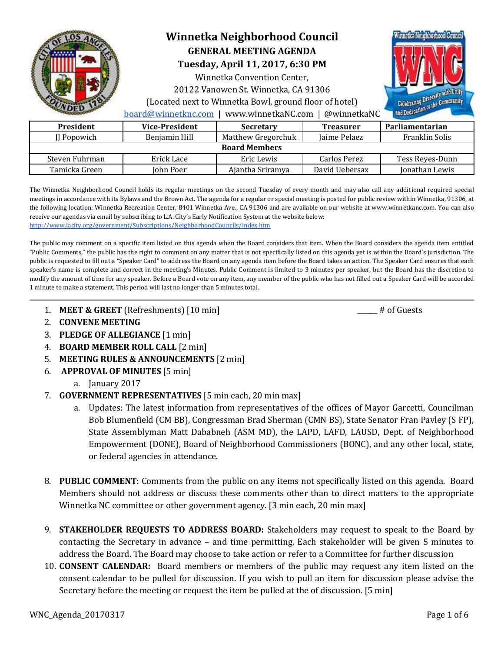

# **Winnetka Neighborhood Council GENERAL MEETING AGENDA**

**Tuesday, April 11, 2017, 6:30 PM** 

Winnetka Convention Center,

20122 Vanowen St. Winnetka, CA 91306

(Located next to Winnetka Bowl, ground floor of hotel)

[board@winnetknc.com](mailto:board@winnetknc.com) | www.winnetkaNC.com | @winnetkaNC

| <b>President</b>     | <b>Vice-President</b> | <b>Secretary</b>   | <b>Treasurer</b> | Parliamentarian |
|----------------------|-----------------------|--------------------|------------------|-----------------|
| II Popowich          | Benjamin Hill         | Matthew Gregorchuk | Iaime Pelaez     | Franklin Solis  |
| <b>Board Members</b> |                       |                    |                  |                 |
| Steven Fuhrman       | Erick Lace            | Eric Lewis         | Carlos Perez     | Tess Reyes-Dunn |
| Tamicka Green        | John Poer             | Ajantha Sriramya   | David Uebersax   | Jonathan Lewis  |

The Winnetka Neighborhood Council holds its regular meetings on the second Tuesday of every month and may also call any additional required special meetings in accordance with its Bylaws and the Brown Act. The agenda for a regular or special meeting is posted for public review within Winnetka, 91306, at the following location: Winnetka Recreation Center, 8401 Winnetka Ave., CA 91306 and are available on our website at www.winnetkanc.com. You can also receive our agendas via email by subscribing to L.A. City's Early Notification System at the website below: <http://www.lacity.org/government/Subscriptions/NeighborhoodCouncils/index.htm>

The public may comment on a specific item listed on this agenda when the Board considers that item. When the Board considers the agenda item entitled "Public Comments," the public has the right to comment on any matter that is not specifically listed on this agenda yet is within the Board's jurisdiction. The public is requested to fill out a "Speaker Card" to address the Board on any agenda item before the Board takes an action. The Speaker Card ensures that each speaker's name is complete and correct in the meeting's Minutes. Public Comment is limited to 3 minutes per speaker, but the Board has the discretion to modify the amount of time for any speaker. Before a Board vote on any item, any member of the public who has not filled out a Speaker Card will be accorded 1 minute to make a statement. This period will last no longer than 5 minutes total.

- 1. **MEET & GREET** (Refreshments) [10 min] \_\_\_\_\_\_\_\_ # of Guests
- 2. **CONVENE MEETING**
- 3. **PLEDGE OF ALLEGIANCE** [1 min]
- 4. **BOARD MEMBER ROLL CALL** [2 min]
- 5. **MEETING RULES & ANNOUNCEMENTS** [2 min]
- 6. **APPROVAL OF MINUTES** [5 min]
	- a. January 2017
- 7. **GOVERNMENT REPRESENTATIVES** [5 min each, 20 min max]
	- a. Updates: The latest information from representatives of the offices of Mayor Garcetti, Councilman Bob Blumenfield (CM BB), Congressman Brad Sherman (CMN BS), State Senator Fran Pavley (S FP), State Assemblyman Matt Dababneh (ASM MD), the LAPD, LAFD, LAUSD, Dept. of Neighborhood Empowerment (DONE), Board of Neighborhood Commissioners (BONC), and any other local, state, or federal agencies in attendance.
- 8. **PUBLIC COMMENT**: Comments from the public on any items not specifically listed on this agenda. Board Members should not address or discuss these comments other than to direct matters to the appropriate Winnetka NC committee or other government agency. [3 min each, 20 min max]
- 9. **STAKEHOLDER REQUESTS TO ADDRESS BOARD:** Stakeholders may request to speak to the Board by contacting the Secretary in advance – and time permitting. Each stakeholder will be given 5 minutes to address the Board. The Board may choose to take action or refer to a Committee for further discussion
- 10. **CONSENT CALENDAR:** Board members or members of the public may request any item listed on the consent calendar to be pulled for discussion. If you wish to pull an item for discussion please advise the Secretary before the meeting or request the item be pulled at the of discussion. [5 min]

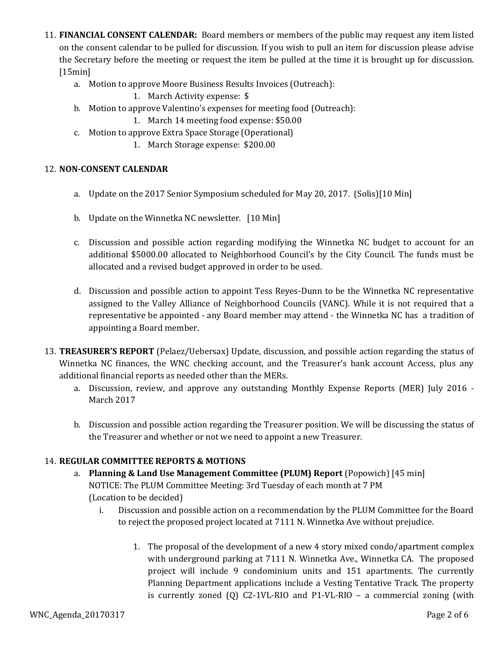- 11. **FINANCIAL CONSENT CALENDAR:** Board members or members of the public may request any item listed on the consent calendar to be pulled for discussion. If you wish to pull an item for discussion please advise the Secretary before the meeting or request the item be pulled at the time it is brought up for discussion. [15min]
	- a. Motion to approve Moore Business Results Invoices (Outreach):
		- 1. March Activity expense: \$
	- b. Motion to approve Valentino's expenses for meeting food (Outreach):
		- 1. March 14 meeting food expense: \$50.00
	- c. Motion to approve Extra Space Storage (Operational)
		- 1. March Storage expense: \$200.00

### 12. **NON-CONSENT CALENDAR**

- a. Update on the 2017 Senior Symposium scheduled for May 20, 2017. (Solis)[10 Min]
- b. Update on the Winnetka NC newsletter. [10 Min]
- c. Discussion and possible action regarding modifying the Winnetka NC budget to account for an additional \$5000.00 allocated to Neighborhood Council's by the City Council. The funds must be allocated and a revised budget approved in order to be used.
- d. Discussion and possible action to appoint Tess Reyes-Dunn to be the Winnetka NC representative assigned to the Valley Alliance of Neighborhood Councils (VANC). While it is not required that a representative be appointed - any Board member may attend - the Winnetka NC has a tradition of appointing a Board member.
- 13. **TREASURER'S REPORT** (Pelaez/Uebersax) Update, discussion, and possible action regarding the status of Winnetka NC finances, the WNC checking account, and the Treasurer's bank account Access, plus any additional financial reports as needed other than the MERs.
	- a. Discussion, review, and approve any outstanding Monthly Expense Reports (MER) July 2016 March 2017
	- b. Discussion and possible action regarding the Treasurer position. We will be discussing the status of the Treasurer and whether or not we need to appoint a new Treasurer.

### 14. **REGULAR COMMITTEE REPORTS & MOTIONS**

- a. **Planning & Land Use Management Committee (PLUM) Report** (Popowich) [45 min] NOTICE: The PLUM Committee Meeting: 3rd Tuesday of each month at 7 PM (Location to be decided)
	- i. Discussion and possible action on a recommendation by the PLUM Committee for the Board to reject the proposed project located at 7111 N. Winnetka Ave without prejudice.
		- 1. The proposal of the development of a new 4 story mixed condo/apartment complex with underground parking at 7111 N. Winnetka Ave., Winnetka CA. The proposed project will include 9 condominium units and 151 apartments. The currently Planning Department applications include a Vesting Tentative Track. The property is currently zoned  $(Q)$  C2-1VL-RIO and P1-VL-RIO – a commercial zoning (with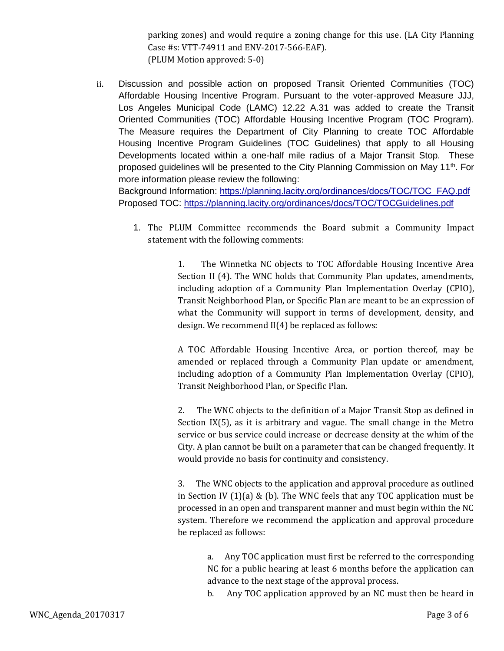parking zones) and would require a zoning change for this use. (LA City Planning Case #s: VTT-74911 and ENV-2017-566-EAF). (PLUM Motion approved: 5-0)

ii. Discussion and possible action on proposed Transit Oriented Communities (TOC) Affordable Housing Incentive Program. Pursuant to the voter-approved Measure JJJ, Los Angeles Municipal Code (LAMC) 12.22 A.31 was added to create the Transit Oriented Communities (TOC) Affordable Housing Incentive Program (TOC Program). The Measure requires the Department of City Planning to create TOC Affordable Housing Incentive Program Guidelines (TOC Guidelines) that apply to all Housing Developments located within a one-half mile radius of a Major Transit Stop. These proposed guidelines will be presented to the City Planning Commission on May 11<sup>th</sup>. For more information please review the following:

Background Information: [https://planning.lacity.org/ordinances/docs/TOC/TOC\\_FAQ.pdf](https://planning.lacity.org/ordinances/docs/TOC/TOC_FAQ.pdf) Proposed TOC[:](https://planning.lacity.org/ordinances/docs/TOC/TOCGuidelines.pdf) <https://planning.lacity.org/ordinances/docs/TOC/TOCGuidelines.pdf>

1. The PLUM Committee recommends the Board submit a Community Impact statement with the following comments:

> 1. The Winnetka NC objects to TOC Affordable Housing Incentive Area Section II (4). The WNC holds that Community Plan updates, amendments, including adoption of a Community Plan Implementation Overlay (CPIO), Transit Neighborhood Plan, or Specific Plan are meant to be an expression of what the Community will support in terms of development, density, and design. We recommend II(4) be replaced as follows:

> A TOC Affordable Housing Incentive Area, or portion thereof, may be amended or replaced through a Community Plan update or amendment, including adoption of a Community Plan Implementation Overlay (CPIO), Transit Neighborhood Plan, or Specific Plan.

> 2. The WNC objects to the definition of a Major Transit Stop as defined in Section IX(5), as it is arbitrary and vague. The small change in the Metro service or bus service could increase or decrease density at the whim of the City. A plan cannot be built on a parameter that can be changed frequently. It would provide no basis for continuity and consistency.

> 3. The WNC objects to the application and approval procedure as outlined in Section IV  $(1)(a)$  &  $(b)$ . The WNC feels that any TOC application must be processed in an open and transparent manner and must begin within the NC system. Therefore we recommend the application and approval procedure be replaced as follows:

a. Any TOC application must first be referred to the corresponding NC for a public hearing at least 6 months before the application can advance to the next stage of the approval process.

b. Any TOC application approved by an NC must then be heard in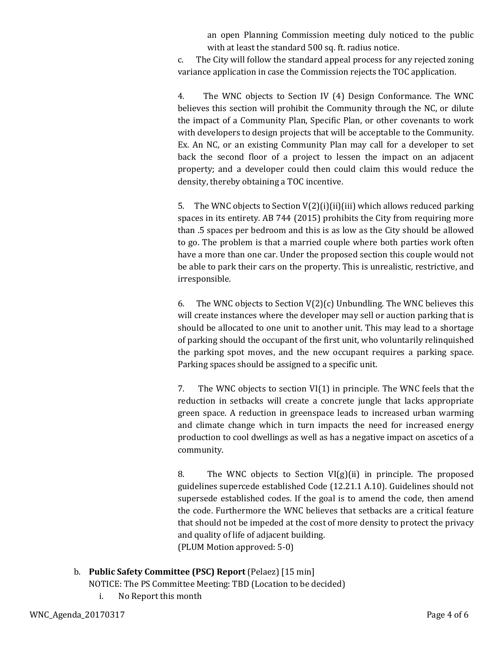an open Planning Commission meeting duly noticed to the public with at least the standard 500 sq. ft. radius notice.

c. The City will follow the standard appeal process for any rejected zoning variance application in case the Commission rejects the TOC application.

4. The WNC objects to Section IV (4) Design Conformance. The WNC believes this section will prohibit the Community through the NC, or dilute the impact of a Community Plan, Specific Plan, or other covenants to work with developers to design projects that will be acceptable to the Community. Ex. An NC, or an existing Community Plan may call for a developer to set back the second floor of a project to lessen the impact on an adjacent property; and a developer could then could claim this would reduce the density, thereby obtaining a TOC incentive.

5. The WNC objects to Section  $V(2)(i)(ii)(iii)$  which allows reduced parking spaces in its entirety. AB 744 (2015) prohibits the City from requiring more than .5 spaces per bedroom and this is as low as the City should be allowed to go. The problem is that a married couple where both parties work often have a more than one car. Under the proposed section this couple would not be able to park their cars on the property. This is unrealistic, restrictive, and irresponsible.

6. The WNC objects to Section  $V(2)(c)$  Unbundling. The WNC believes this will create instances where the developer may sell or auction parking that is should be allocated to one unit to another unit. This may lead to a shortage of parking should the occupant of the first unit, who voluntarily relinquished the parking spot moves, and the new occupant requires a parking space. Parking spaces should be assigned to a specific unit.

7. The WNC objects to section VI(1) in principle. The WNC feels that the reduction in setbacks will create a concrete jungle that lacks appropriate green space. A reduction in greenspace leads to increased urban warming and climate change which in turn impacts the need for increased energy production to cool dwellings as well as has a negative impact on ascetics of a community.

8. The WNC objects to Section  $VI(g)(ii)$  in principle. The proposed guidelines supercede established Code (12.21.1 A.10). Guidelines should not supersede established codes. If the goal is to amend the code, then amend the code. Furthermore the WNC believes that setbacks are a critical feature that should not be impeded at the cost of more density to protect the privacy and quality of life of adjacent building. (PLUM Motion approved: 5-0)

b. **Public Safety Committee (PSC) Report** (Pelaez) [15 min]

NOTICE: The PS Committee Meeting: TBD (Location to be decided)

i. No Report this month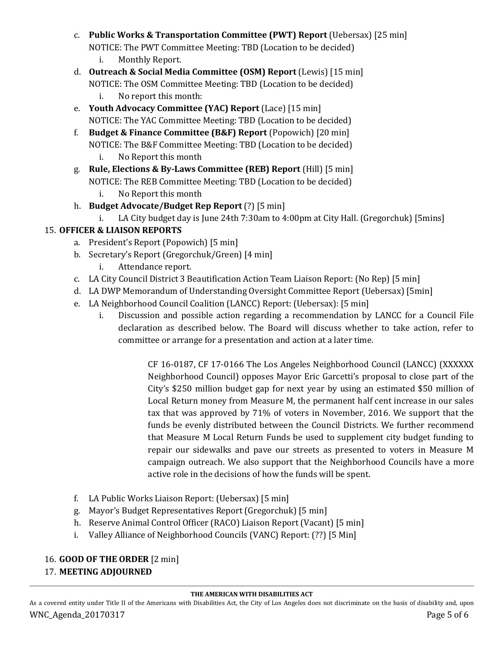- c. **Public Works & Transportation Committee (PWT) Report** (Uebersax) [25 min] NOTICE: The PWT Committee Meeting: TBD (Location to be decided) i. Monthly Report.
- d. **Outreach & Social Media Committee (OSM) Report** (Lewis) [15 min] NOTICE: The OSM Committee Meeting: TBD (Location to be decided)
	- i. No report this month:
- e. **Youth Advocacy Committee (YAC) Report** (Lace) [15 min] NOTICE: The YAC Committee Meeting: TBD (Location to be decided)
- f. **Budget & Finance Committee (B&F) Report** (Popowich) [20 min] NOTICE: The B&F Committee Meeting: TBD (Location to be decided)
	- i. No Report this month
- g. **Rule, Elections & By-Laws Committee (REB) Report** (Hill) [5 min] NOTICE: The REB Committee Meeting: TBD (Location to be decided)
	- i. No Report this month
- h. **Budget Advocate/Budget Rep Report** (?) [5 min]
	- i. LA City budget day is June 24th 7:30am to 4:00pm at City Hall. (Gregorchuk) [5mins]

## 15. **OFFICER & LIAISON REPORTS**

- a. President's Report (Popowich) [5 min]
- b. Secretary's Report (Gregorchuk/Green) [4 min]
	- i. Attendance report.
- c. LA City Council District 3 Beautification Action Team Liaison Report: (No Rep) [5 min]
- d. LA DWP Memorandum of Understanding Oversight Committee Report (Uebersax) [5min]
- e. LA Neighborhood Council Coalition (LANCC) Report: (Uebersax): [5 min]
	- i. Discussion and possible action regarding a recommendation by LANCC for a Council File declaration as described below. The Board will discuss whether to take action, refer to committee or arrange for a presentation and action at a later time.

CF 16-0187, CF 17-0166 The Los Angeles Neighborhood Council (LANCC) (XXXXXX Neighborhood Council) opposes Mayor Eric Garcetti's proposal to close part of the City's \$250 million budget gap for next year by using an estimated \$50 million of Local Return money from Measure M, the permanent half cent increase in our sales tax that was approved by 71% of voters in November, 2016. We support that the funds be evenly distributed between the Council Districts. We further recommend that Measure M Local Return Funds be used to supplement city budget funding to repair our sidewalks and pave our streets as presented to voters in Measure M campaign outreach. We also support that the Neighborhood Councils have a more active role in the decisions of how the funds will be spent.

- f. LA Public Works Liaison Report: (Uebersax) [5 min]
- g. Mayor's Budget Representatives Report (Gregorchuk) [5 min]
- h. Reserve Animal Control Officer (RACO) Liaison Report (Vacant) [5 min]
- i. Valley Alliance of Neighborhood Councils (VANC) Report: (??) [5 Min]

## 16. **GOOD OF THE ORDER** [2 min] 17. **MEETING ADJOURNED**